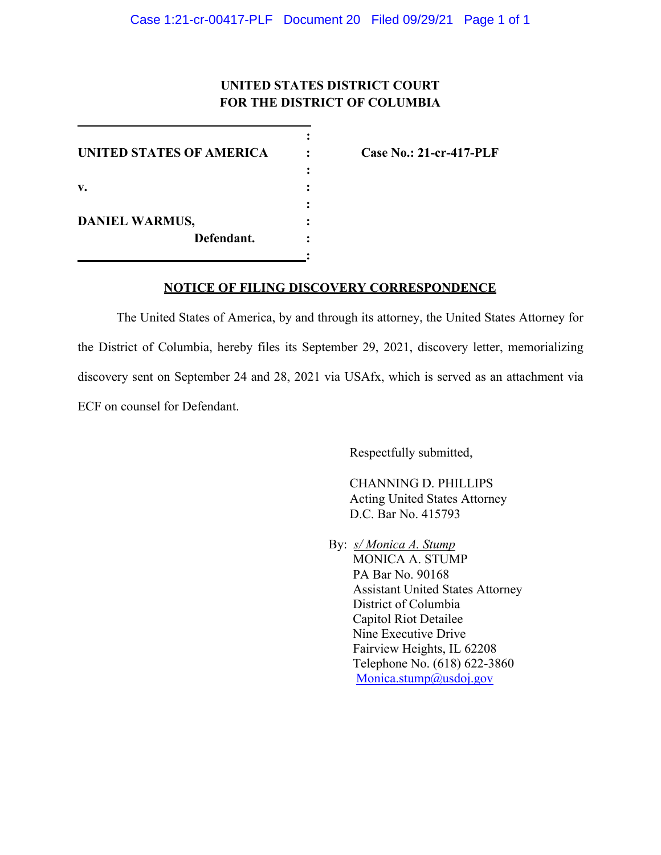## **UNITED STATES DISTRICT COURT FOR THE DISTRICT OF COLUMBIA**

**:**

**:**

**:** 

**:**

**UNITED STATES OF AMERICA : Case No.: 21-cr-417-PLF v. : DANIEL WARMUS, : Defendant. :**

#### **NOTICE OF FILING DISCOVERY CORRESPONDENCE**

The United States of America, by and through its attorney, the United States Attorney for the District of Columbia, hereby files its September 29, 2021, discovery letter, memorializing discovery sent on September 24 and 28, 2021 via USAfx, which is served as an attachment via ECF on counsel for Defendant.

Respectfully submitted,

CHANNING D. PHILLIPS Acting United States Attorney D.C. Bar No. 415793

By: *s/ Monica A. Stump* MONICA A. STUMP PA Bar No. 90168 Assistant United States Attorney District of Columbia Capitol Riot Detailee Nine Executive Drive Fairview Heights, IL 62208 Telephone No. (618) 622-3860 Monica.stump@usdoj.gov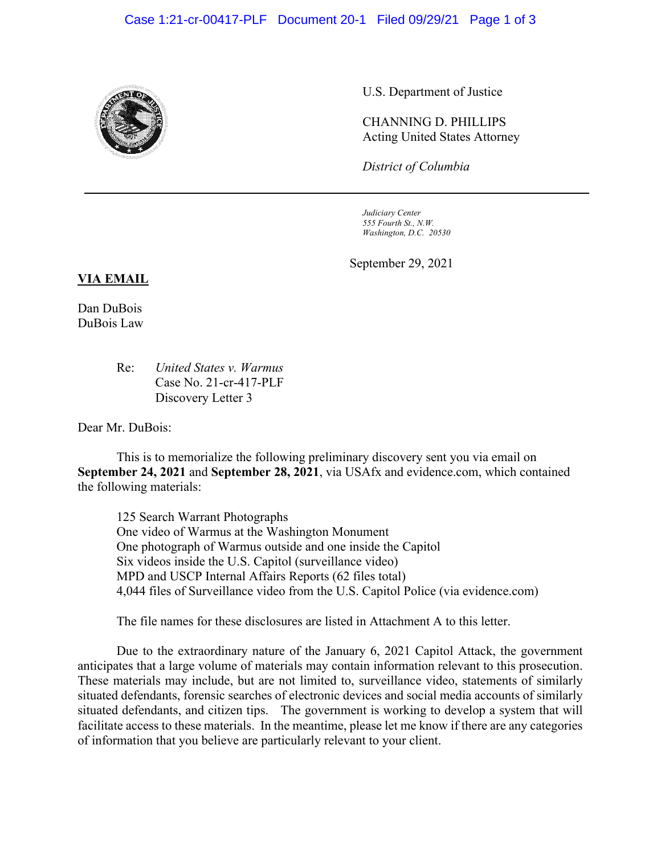

U.S. Department of Justice

CHANNING D. PHILLIPS Acting United States Attorney

*District of Columbia*

*Judiciary Center 555 Fourth St., N.W. Washington, D.C. 20530*

September 29, 2021

#### **VIA EMAIL**

Dan DuBois DuBois Law

> Re: *United States v. Warmus* Case No. 21-cr-417-PLF Discovery Letter 3

Dear Mr. DuBois:

This is to memorialize the following preliminary discovery sent you via email on **September 24, 2021** and **September 28, 2021**, via USAfx and evidence.com, which contained the following materials:

125 Search Warrant Photographs One video of Warmus at the Washington Monument One photograph of Warmus outside and one inside the Capitol Six videos inside the U.S. Capitol (surveillance video) MPD and USCP Internal Affairs Reports (62 files total) 4,044 files of Surveillance video from the U.S. Capitol Police (via evidence.com)

The file names for these disclosures are listed in Attachment A to this letter.

Due to the extraordinary nature of the January 6, 2021 Capitol Attack, the government anticipates that a large volume of materials may contain information relevant to this prosecution. These materials may include, but are not limited to, surveillance video, statements of similarly situated defendants, forensic searches of electronic devices and social media accounts of similarly situated defendants, and citizen tips. The government is working to develop a system that will facilitate access to these materials. In the meantime, please let me know if there are any categories of information that you believe are particularly relevant to your client.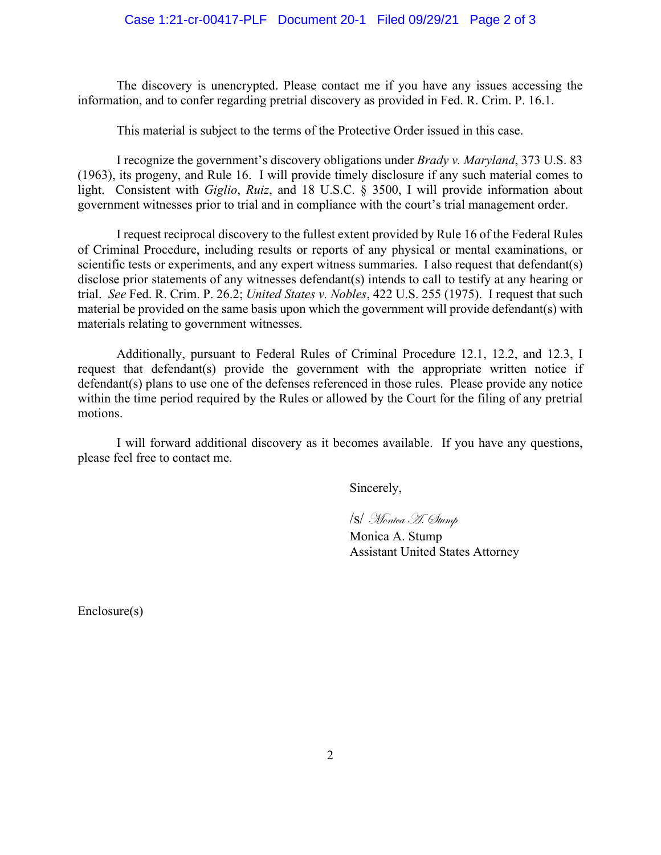The discovery is unencrypted. Please contact me if you have any issues accessing the information, and to confer regarding pretrial discovery as provided in Fed. R. Crim. P. 16.1.

This material is subject to the terms of the Protective Order issued in this case.

I recognize the government's discovery obligations under *Brady v. Maryland*, 373 U.S. 83 (1963), its progeny, and Rule 16. I will provide timely disclosure if any such material comes to light. Consistent with *Giglio*, *Ruiz*, and 18 U.S.C. § 3500, I will provide information about government witnesses prior to trial and in compliance with the court's trial management order.

I request reciprocal discovery to the fullest extent provided by Rule 16 of the Federal Rules of Criminal Procedure, including results or reports of any physical or mental examinations, or scientific tests or experiments, and any expert witness summaries. I also request that defendant(s) disclose prior statements of any witnesses defendant(s) intends to call to testify at any hearing or trial. *See* Fed. R. Crim. P. 26.2; *United States v. Nobles*, 422 U.S. 255 (1975). I request that such material be provided on the same basis upon which the government will provide defendant(s) with materials relating to government witnesses.

Additionally, pursuant to Federal Rules of Criminal Procedure 12.1, 12.2, and 12.3, I request that defendant(s) provide the government with the appropriate written notice if defendant(s) plans to use one of the defenses referenced in those rules. Please provide any notice within the time period required by the Rules or allowed by the Court for the filing of any pretrial motions.

I will forward additional discovery as it becomes available. If you have any questions, please feel free to contact me.

Sincerely,

/s/ Monica A. Stump

Monica A. Stump Assistant United States Attorney

Enclosure(s)